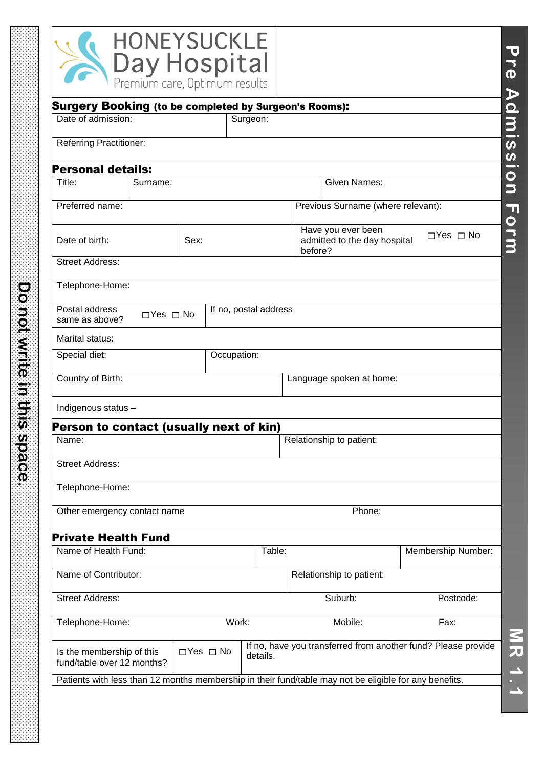|                                                                                                        |                      | <b>HONEYSUCKLE</b><br>Day Hospital<br>Premium care, Optimum results |             |                       |         |                                                               |                      | $\dot{\mathbf{\Phi}}$<br>$\blacktriangleright$ |
|--------------------------------------------------------------------------------------------------------|----------------------|---------------------------------------------------------------------|-------------|-----------------------|---------|---------------------------------------------------------------|----------------------|------------------------------------------------|
| <b>Surgery Booking (to be completed by Surgeon's Rooms):</b>                                           |                      |                                                                     |             |                       |         |                                                               |                      |                                                |
| Date of admission:                                                                                     |                      |                                                                     | Surgeon:    |                       |         |                                                               |                      | dmi                                            |
| <b>Referring Practitioner:</b>                                                                         |                      |                                                                     |             |                       |         |                                                               |                      | $\boldsymbol{\omega}$<br>$\boldsymbol{\omega}$ |
| <b>Personal details:</b>                                                                               |                      |                                                                     |             |                       |         |                                                               |                      | $\overline{\phantom{a}}$                       |
| Title:                                                                                                 | Surname:             |                                                                     |             |                       |         | <b>Given Names:</b>                                           |                      | $\bullet$<br>$\overline{\phantom{a}}$          |
| Preferred name:                                                                                        |                      |                                                                     |             |                       |         | Previous Surname (where relevant):                            |                      | $\blacksquare$                                 |
| Date of birth:                                                                                         |                      | Sex:                                                                |             |                       | before? | Have you ever been<br>admitted to the day hospital            | $\Box$ Yes $\Box$ No | Orm                                            |
| <b>Street Address:</b>                                                                                 |                      |                                                                     |             |                       |         |                                                               |                      |                                                |
| Telephone-Home:                                                                                        |                      |                                                                     |             |                       |         |                                                               |                      |                                                |
| Postal address<br>same as above?                                                                       | $\Box$ Yes $\Box$ No |                                                                     |             | If no, postal address |         |                                                               |                      |                                                |
| Marital status:                                                                                        |                      |                                                                     |             |                       |         |                                                               |                      |                                                |
| Special diet:                                                                                          |                      |                                                                     | Occupation: |                       |         |                                                               |                      |                                                |
| Country of Birth:                                                                                      |                      |                                                                     |             |                       |         | Language spoken at home:                                      |                      |                                                |
| Indigenous status -                                                                                    |                      |                                                                     |             |                       |         |                                                               |                      |                                                |
| Person to contact (usually next of kin)                                                                |                      |                                                                     |             |                       |         |                                                               |                      |                                                |
| Name:                                                                                                  |                      |                                                                     |             |                       |         | Relationship to patient:                                      |                      |                                                |
| <b>Street Address:</b>                                                                                 |                      |                                                                     |             |                       |         |                                                               |                      |                                                |
| Telephone-Home:                                                                                        |                      |                                                                     |             |                       |         |                                                               |                      |                                                |
| Other emergency contact name                                                                           |                      |                                                                     |             |                       |         | Phone:                                                        |                      |                                                |
| <b>Private Health Fund</b>                                                                             |                      |                                                                     |             |                       |         |                                                               |                      |                                                |
| Name of Health Fund:                                                                                   |                      |                                                                     |             | Table:                |         |                                                               | Membership Number:   |                                                |
| Name of Contributor:                                                                                   |                      |                                                                     |             |                       |         | Relationship to patient:                                      |                      |                                                |
| <b>Street Address:</b>                                                                                 |                      |                                                                     |             |                       |         | Suburb:                                                       | Postcode:            |                                                |
| Telephone-Home:                                                                                        |                      |                                                                     | Work:       |                       |         | Mobile:                                                       | Fax:                 |                                                |
| Is the membership of this<br>fund/table over 12 months?                                                |                      | $\Box$ Yes $\Box$ No                                                |             | details.              |         | If no, have you transferred from another fund? Please provide |                      | MRI<br>H                                       |
| Patients with less than 12 months membership in their fund/table may not be eligible for any benefits. |                      |                                                                     |             |                       |         |                                                               |                      |                                                |

Domwind ministeries **Do not write in this space.**